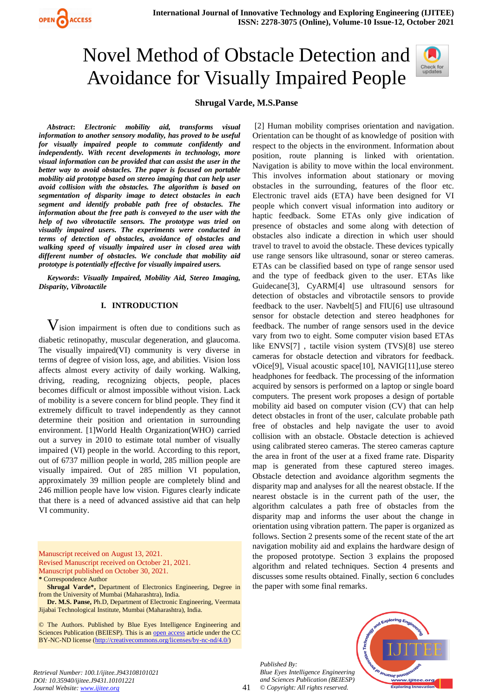

# Novel Method of Obstacle Detection and Avoidance for Visually Impaired People



### **Shrugal Varde, M.S.Panse**

*Abstract***:** *Electronic mobility aid, transforms visual information to another sensory modality, has proved to be useful for visually impaired people to commute confidently and independently. With recent developments in technology, more visual information can be provided that can assist the user in the better way to avoid obstacles. The paper is focused on portable mobility aid prototype based on stereo imaging that can help user avoid collision with the obstacles. The algorithm is based on segmentation of disparity image to detect obstacles in each segment and identify probable path free of obstacles. The information about the free path is conveyed to the user with the help of two vibrotactile sensors. The prototype was tried on visually impaired users. The experiments were conducted in terms of detection of obstacles, avoidance of obstacles and walking speed of visually impaired user in closed area with different number of obstacles. We conclude that mobility aid prototype is potentially effective for visually impaired users.*

*Keywords***:** *Visually Impaired, Mobility Aid, Stereo Imaging, Disparity, Vibrotactile*

#### **I. INTRODUCTION**

 $V$ ision impairment is often due to conditions such as diabetic retinopathy, muscular degeneration, and glaucoma. The visually impaired(VI) community is very diverse in terms of degree of vision loss, age, and abilities. Vision loss affects almost every activity of daily working. Walking, driving, reading, recognizing objects, people, places becomes difficult or almost impossible without vision. Lack of mobility is a severe concern for blind people. They find it extremely difficult to travel independently as they cannot determine their position and orientation in surrounding environment. [1]World Health Organization(WHO) carried out a survey in 2010 to estimate total number of visually impaired (VI) people in the world. According to this report, out of 6737 million people in world, 285 million people are visually impaired. Out of 285 million VI population, approximately 39 million people are completely blind and 246 million people have low vision. Figures clearly indicate that there is a need of advanced assistive aid that can help VI community.

Manuscript received on August 13, 2021. Revised Manuscript received on October 21, 2021. Manuscript published on October 30, 2021. **\*** Correspondence Author

**Dr. M.S. Panse,** Ph.D, Department of Electronic Engineering, Veermata Jijabai Technological Institute, Mumbai (Maharashtra), India.

© The Authors. Published by Blue Eyes Intelligence Engineering and Sciences Publication (BEIESP). This is an [open access](https://www.openaccess.nl/en/open-publications) article under the CC BY-NC-ND license [\(http://creativecommons.org/licenses/by-nc-nd/4.0/\)](http://creativecommons.org/licenses/by-nc-nd/4.0/)

[2] Human mobility comprises orientation and navigation. Orientation can be thought of as knowledge of position with respect to the objects in the environment. Information about position, route planning is linked with orientation. Navigation is ability to move within the local environment. This involves information about stationary or moving obstacles in the surrounding, features of the floor etc. Electronic travel aids (ETA) have been designed for VI people which convert visual information into auditory or haptic feedback. Some ETAs only give indication of presence of obstacles and some along with detection of obstacles also indicate a direction in which user should travel to travel to avoid the obstacle. These devices typically use range sensors like ultrasound, sonar or stereo cameras. ETAs can be classified based on type of range sensor used and the type of feedback given to the user. ETAs like Guidecane[3], CyARM[4] use ultrasound sensors for detection of obstacles and vibrotactile sensors to provide feedback to the user. Navbelt[5] and FIU[6] use ultrasound sensor for obstacle detection and stereo headphones for feedback. The number of range sensors used in the device vary from two to eight. Some computer vision based ETAs like ENVS[7] , tactile vision system (TVS)[8] use stereo cameras for obstacle detection and vibrators for feedback. vOice[9], Visual acoustic space[10], NAVIG[11],use stereo headphones for feedback. The processing of the information acquired by sensors is performed on a laptop or single board computers. The present work proposes a design of portable mobility aid based on computer vision (CV) that can help detect obstacles in front of the user, calculate probable path free of obstacles and help navigate the user to avoid collision with an obstacle. Obstacle detection is achieved using calibrated stereo cameras. The stereo cameras capture the area in front of the user at a fixed frame rate. Disparity map is generated from these captured stereo images. Obstacle detection and avoidance algorithm segments the disparity map and analyses for all the nearest obstacle. If the nearest obstacle is in the current path of the user, the algorithm calculates a path free of obstacles from the disparity map and informs the user about the change in orientation using vibration pattern. The paper is organized as follows. Section 2 presents some of the recent state of the art navigation mobility aid and explains the hardware design of the proposed prototype. Section 3 explains the proposed algorithm and related techniques. Section 4 presents and discusses some results obtained. Finally, section 6 concludes the paper with some final remarks.

*Published By: Blue Eyes Intelligence Engineering and Sciences Publication (BEIESP) © Copyright: All rights reserved.*



*Retrieval Number: 100.1/ijitee.J943108101021 DOI: 10.35940/ijitee.J9431.10101221 Journal Website[: www.ijitee.org](http://www.ijitee.org/)*

**Shrugal Varde\*,** Department of Electronics Engineering, Degree in from the University of Mumbai (Maharashtra), India.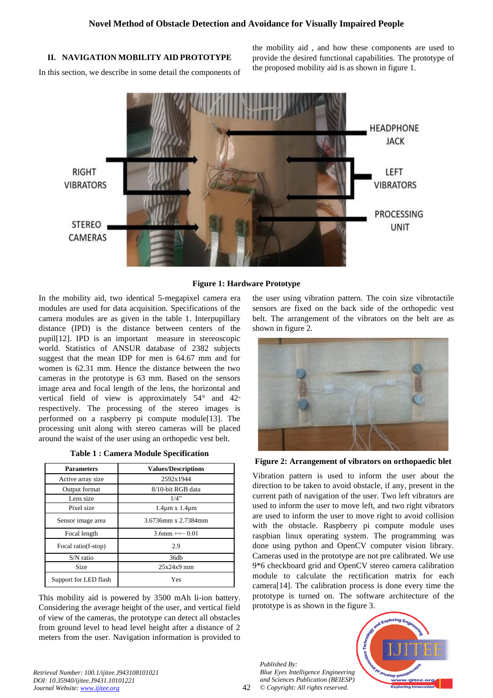# **II. NAVIGATION MOBILITY AID PROTOTYPE**

In this section, we describe in some detail the components of

the mobility aid , and how these components are used to provide the desired functional capabilities. The prototype of the proposed mobility aid is as shown in figure 1.



# **Figure 1: Hardware Prototype**

In the mobility aid, two identical 5-megapixel camera era modules are used for data acquisition. Specifications of the camera modules are as given in the table 1. Interpupillary distance (IPD) is the distance between centers of the pupil[12]. IPD is an important measure in stereoscopic world. Statistics of ANSUR database of 2382 subjects suggest that the mean IDP for men is 64.67 mm and for women is 62.31 mm. Hence the distance between the two cameras in the prototype is 63 mm. Based on the sensors image area and focal length of the lens, the horizontal and vertical field of view is approximately 54° and 42° respectively. The processing of the stereo images is performed on a raspberry pi compute module[13]. The processing unit along with stereo cameras will be placed around the waist of the user using an orthopedic vest belt.

| <b>Table 1: Camera Module Specification</b> |  |
|---------------------------------------------|--|
|---------------------------------------------|--|

| <b>Parameters</b>     | <b>Values/Descriptions</b> |  |
|-----------------------|----------------------------|--|
| Active array size     | 2592x1944                  |  |
| Output format         | 8/10-bit RGB data          |  |
| Lens size             | 1/4"                       |  |
| Pixel size            | $1.4\mu$ m x $1.4\mu$ m    |  |
| Sensor image area     | 3.6736mm x 2.7384mm        |  |
| Focal length          | $3.6$ mm $\leftarrow$ 0.01 |  |
| Focal ratio(f-stop)   | 2.9                        |  |
| $S/N$ ratio           | 36db                       |  |
| Size                  | $25x24x9$ mm               |  |
| Support for LED flash | Yes                        |  |

This mobility aid is powered by 3500 mAh li-ion battery. Considering the average height of the user, and vertical field of view of the cameras, the prototype can detect all obstacles from ground level to head level height after a distance of 2 meters from the user. Navigation information is provided to the user using vibration pattern. The coin size vibrotactile sensors are fixed on the back side of the orthopedic vest belt. The arrangement of the vibrators on the belt are as shown in figure 2.



**Figure 2: Arrangement of vibrators on orthopaedic blet**

Vibration pattern is used to inform the user about the direction to be taken to avoid obstacle, if any, present in the current path of navigation of the user. Two left vibrators are used to inform the user to move left, and two right vibrators are used to inform the user to move right to avoid collision with the obstacle. Raspberry pi compute module uses raspbian linux operating system. The programming was done using python and OpenCV computer vision library. Cameras used in the prototype are not pre calibrated. We use 9\*6 checkboard grid and OpenCV stereo camera calibration module to calculate the rectification matrix for each camera[14]. The calibration process is done every time the prototype is turned on. The software architecture of the prototype is as shown in the figure 3.

*Published By: Blue Eyes Intelligence Engineering and Sciences Publication (BEIESP) © Copyright: All rights reserved.*



*Retrieval Number: 100.1/ijitee.J943108101021 DOI: 10.35940/ijitee.J9431.10101221 Journal Website[: www.ijitee.org](http://www.ijitee.org/)*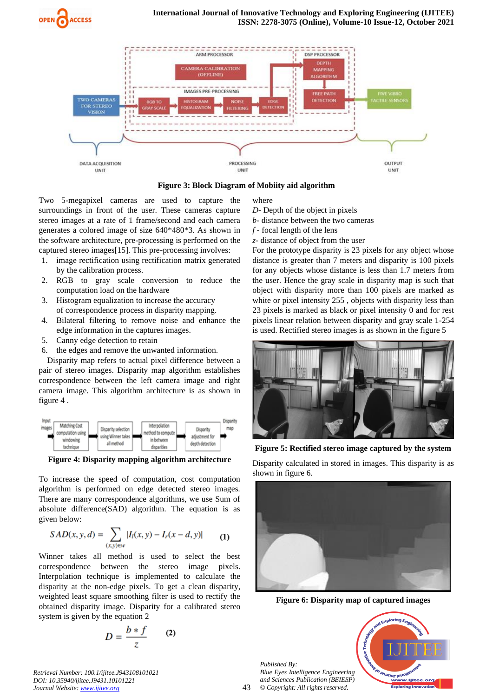



**Figure 3: Block Diagram of Mobiity aid algorithm**

Two 5-megapixel cameras are used to capture the surroundings in front of the user. These cameras capture stereo images at a rate of 1 frame/second and each camera generates a colored image of size 640\*480\*3. As shown in the software architecture, pre-processing is performed on the captured stereo images[15]. This pre-processing involves:

- 1. image rectification using rectification matrix generated by the calibration process.
- 2. RGB to gray scale conversion to reduce the computation load on the hardware
- 3. Histogram equalization to increase the accuracy of correspondence process in disparity mapping.
- 4. Bilateral filtering to remove noise and enhance the edge information in the captures images.
- 5. Canny edge detection to retain
- 6. the edges and remove the unwanted information.

Disparity map refers to actual pixel difference between a pair of stereo images. Disparity map algorithm establishes correspondence between the left camera image and right camera image. This algorithm architecture is as shown in figure 4 .



**Figure 4: Disparity mapping algorithm architecture**

To increase the speed of computation, cost computation algorithm is performed on edge detected stereo images. There are many correspondence algorithms, we use Sum of absolute difference(SAD) algorithm. The equation is as given below:

$$
SAD(x, y, d) = \sum_{(x, y) \in w} |I_l(x, y) - I_r(x - d, y)| \tag{1}
$$

Winner takes all method is used to select the best correspondence between the stereo image pixels. Interpolation technique is implemented to calculate the disparity at the non-edge pixels. To get a clean disparity, weighted least square smoothing filter is used to rectify the obtained disparity image. Disparity for a calibrated stereo system is given by the equation 2

$$
D = \frac{b * f}{z} \qquad (2)
$$

*Retrieval Number: 100.1/ijitee.J943108101021 DOI: 10.35940/ijitee.J9431.10101221 Journal Website[: www.ijitee.org](http://www.ijitee.org/)*

where

- *D* Depth of the object in pixels
- *b* distance between the two cameras
- *f*  focal length of the lens
- *z* distance of object from the user

For the prototype disparity is 23 pixels for any object whose distance is greater than 7 meters and disparity is 100 pixels for any objects whose distance is less than 1.7 meters from the user. Hence the gray scale in disparity map is such that object with disparity more than 100 pixels are marked as white or pixel intensity 255, objects with disparity less than 23 pixels is marked as black or pixel intensity 0 and for rest pixels linear relation between disparity and gray scale 1-254 is used. Rectified stereo images is as shown in the figure 5



**Figure 5: Rectified stereo image captured by the system**

Disparity calculated in stored in images. This disparity is as shown in figure 6.



**Figure 6: Disparity map of captured images**

*Published By: Blue Eyes Intelligence Engineering and Sciences Publication (BEIESP) © Copyright: All rights reserved.*

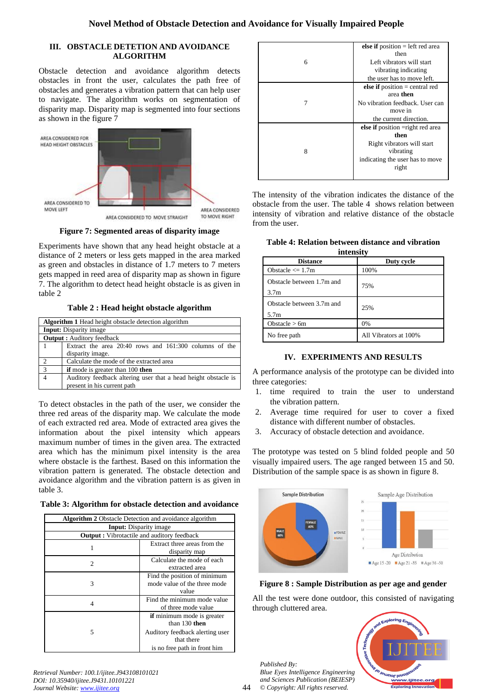# **III. OBSTACLE DETETION AND AVOIDANCE ALGORITHM**

Obstacle detection and avoidance algorithm detects obstacles in front the user, calculates the path free of obstacles and generates a vibration pattern that can help user to navigate. The algorithm works on segmentation of disparity map. Disparity map is segmented into four sections as shown in the figure 7



AREA CONSIDERED TO MOVE STRAIGHT

**Figure 7: Segmented areas of disparity image**

Experiments have shown that any head height obstacle at a distance of 2 meters or less gets mapped in the area marked as green and obstacles in distance of 1.7 meters to 7 meters gets mapped in reed area of disparity map as shown in figure 7. The algorithm to detect head height obstacle is as given in table 2

**Table 2 : Head height obstacle algorithm**

|                                  | <b>Algorithm 1</b> Head height obstacle detection algorithm    |  |  |
|----------------------------------|----------------------------------------------------------------|--|--|
|                                  | <b>Input:</b> Disparity image                                  |  |  |
| <b>Output:</b> Auditory feedback |                                                                |  |  |
|                                  | Extract the area 20:40 rows and 161:300 columns of the         |  |  |
|                                  | disparity image.                                               |  |  |
| $\overline{2}$                   | Calculate the mode of the extracted area                       |  |  |
| $\overline{3}$                   | <b>if</b> mode is greater than 100 <b>then</b>                 |  |  |
|                                  | Auditory feedback altering user that a head height obstacle is |  |  |
|                                  | present in his current path                                    |  |  |

To detect obstacles in the path of the user, we consider the three red areas of the disparity map. We calculate the mode of each extracted red area. Mode of extracted area gives the information about the pixel intensity which appears maximum number of times in the given area. The extracted area which has the minimum pixel intensity is the area where obstacle is the farthest. Based on this information the vibration pattern is generated. The obstacle detection and avoidance algorithm and the vibration pattern is as given in table 3.

**Table 3: Algorithm for obstacle detection and avoidance**

| <b>Algorithm 2</b> Obstacle Detection and avoidance algorithm |                                                                                                                                       |  |
|---------------------------------------------------------------|---------------------------------------------------------------------------------------------------------------------------------------|--|
| <b>Input:</b> Disparity image                                 |                                                                                                                                       |  |
| <b>Output:</b> Vibrotactile and auditory feedback             |                                                                                                                                       |  |
| 1                                                             | Extract three areas from the<br>disparity map                                                                                         |  |
| 2                                                             | Calculate the mode of each<br>extracted area                                                                                          |  |
| 3                                                             | Find the position of minimum<br>mode value of the three mode<br>value                                                                 |  |
| 4                                                             | Find the minimum mode value<br>of three mode value                                                                                    |  |
| 5                                                             | <b>if</b> minimum mode is greater<br>than $130$ then<br>Auditory feedback alerting user<br>that there<br>is no free path in front him |  |

| Retrieval Number: 100.1/ijitee.J943108101021 |
|----------------------------------------------|
| DOI: 10.35940/ijitee.J9431.10101221          |
| Journal Website: www.ijitee.org              |

|   | else if position $=$ left red area |
|---|------------------------------------|
|   | then                               |
| 6 | Left vibrators will start          |
|   | vibrating indicating               |
|   | the user has to move left.         |
|   | else if position $=$ central red   |
|   | area then                          |
| 7 | No vibration feedback. User can    |
|   | move in                            |
|   | the current direction.             |
|   | else if position = right red area  |
|   | then                               |
|   | Right vibrators will start         |
| 8 | vibrating                          |
|   | indicating the user has to move    |
|   | right                              |
|   |                                    |

The intensity of the vibration indicates the distance of the obstacle from the user. The table 4 shows relation between intensity of vibration and relative distance of the obstacle from the user.

|  |           |  | Table 4: Relation between distance and vibration |
|--|-----------|--|--------------------------------------------------|
|  | intensity |  |                                                  |

| <b>ILILUEILISILV</b>      |                       |  |  |  |  |
|---------------------------|-----------------------|--|--|--|--|
| <b>Distance</b>           | Duty cycle            |  |  |  |  |
| Obstacle $\leq 1.7m$      | 100%                  |  |  |  |  |
| Obstacle between 1.7m and | 75%                   |  |  |  |  |
| 3.7 <sub>m</sub>          |                       |  |  |  |  |
| Obstacle between 3.7m and | 25%                   |  |  |  |  |
| 5.7 <sub>m</sub>          |                       |  |  |  |  |
| Obstacle $> 6m$           | 0%                    |  |  |  |  |
| No free path              | All Vibrators at 100% |  |  |  |  |

# **IV. EXPERIMENTS AND RESULTS**

A performance analysis of the prototype can be divided into three categories:

- 1. time required to train the user to understand the vibration pattern.
- 2. Average time required for user to cover a fixed distance with different number of obstacles.
- 3. Accuracy of obstacle detection and avoidance.

The prototype was tested on 5 blind folded people and 50 visually impaired users. The age ranged between 15 and 50. Distribution of the sample space is as shown in figure 8.



**Figure 8 : Sample Distribution as per age and gender**

All the test were done outdoor, this consisted of navigating through cluttered area.



*Published By: Blue Eyes Intelligence Engineering and Sciences Publication (BEIESP) © Copyright: All rights reserved.*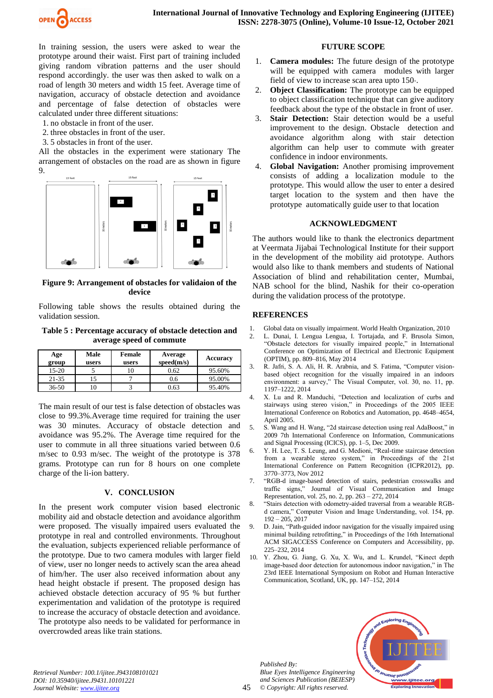

In training session, the users were asked to wear the prototype around their waist. First part of training included giving random vibration patterns and the user should respond accordingly. the user was then asked to walk on a road of length 30 meters and width 15 feet. Average time of navigation, accuracy of obstacle detection and avoidance and percentage of false detection of obstacles were calculated under three different situations:

- 1. no obstacle in front of the user.
- 2. three obstacles in front of the user.
- 3. 5 obstacles in front of the user.

All the obstacles in the experiment were stationary The arrangement of obstacles on the road are as shown in figure 9.



**Figure 9: Arrangement of obstacles for validaion of the device**

Following table shows the results obtained during the validation session.

#### **Table 5 : Percentage accuracy of obstacle detection and average speed of commute**

| Age<br>group | Male<br>users | <b>Female</b><br>users | Average<br>speed(m/s) | Accuracy |
|--------------|---------------|------------------------|-----------------------|----------|
| 15-20        |               |                        | 0.62                  | 95.60%   |
| 21-35        |               |                        | 0.6                   | 95.00%   |
| $36 - 50$    |               |                        | 0.63                  | 95.40%   |

The main result of our test is false detection of obstacles was close to 99.3%.Average time required for training the user was 30 minutes. Accuracy of obstacle detection and avoidance was 95.2%. The Average time required for the user to commute in all three situations varied between 0.6 m/sec to 0.93 m/sec. The weight of the prototype is 378 grams. Prototype can run for 8 hours on one complete charge of the li-ion battery.

# **V. CONCLUSION**

In the present work computer vision based electronic mobility aid and obstacle detection and avoidance algorithm were proposed. The visually impaired users evaluated the prototype in real and controlled environments. Throughout the evaluation, subjects experienced reliable performance of the prototype. Due to two camera modules with larger field of view, user no longer needs to actively scan the area ahead of him/her. The user also received information about any head height obstacle if present. The proposed design has achieved obstacle detection accuracy of 95 % but further experimentation and validation of the prototype is required to increase the accuracy of obstacle detection and avoidance. The prototype also needs to be validated for performance in overcrowded areas like train stations.

# **FUTURE SCOPE**

- 1. **Camera modules:** The future design of the prototype will be equipped with camera modules with larger field of view to increase scan area upto 150◦.
- 2. **Object Classification:** The prototype can be equipped to object classification technique that can give auditory feedback about the type of the obstacle in front of user.
- Stair Detection: Stair detection would be a useful improvement to the design. Obstacle detection and avoidance algorithm along with stair detection algorithm can help user to commute with greater confidence in indoor environments.
- 4. **Global Navigation:** Another promising improvement consists of adding a localization module to the prototype. This would allow the user to enter a desired target location to the system and then have the prototype automatically guide user to that location

# **ACKNOWLEDGMENT**

The authors would like to thank the electronics department at Veermata Jijabai Technological Institute for their support in the development of the mobility aid prototype. Authors would also like to thank members and students of National Association of blind and rehabilitation center, Mumbai, NAB school for the blind, Nashik for their co-operation during the validation process of the prototype.

# **REFERENCES**

- 1. Global data on visually impairment. World Health Organization, 2010
- 2. L. Dunai, I. Lengua Lengua, I. Tortajada, and F. Brusola Simon, "Obstacle detectors for visually impaired people," in International Conference on Optimization of Electrical and Electronic Equipment (OPTIM), pp. 809–816, May 2014
- 3. R. Jafri, S. A. Ali, H. R. Arabnia, and S. Fatima, "Computer visionbased object recognition for the visually impaired in an indoors environment: a survey," The Visual Computer, vol. 30, no. 11, pp. 1197–1222, 2014
- 4. X. Lu and R. Manduchi, "Detection and localization of curbs and stairways using stereo vision," in Proceedings of the 2005 IEEE International Conference on Robotics and Automation, pp. 4648–4654, April 2005.
- 5. S. Wang and H. Wang, "2d staircase detection using real AdaBoost," in 2009 7th International Conference on Information, Communications and Signal Processing (ICICS), pp. 1–5, Dec 2009.
- Y. H. Lee, T. S. Leung, and G. Medioni, "Real-time staircase detection from a wearable stereo system," in Proceedings of the 21st International Conference on Pattern Recognition (ICPR2012), pp. 3770–3773, Nov 2012
- 7. "RGB-d image-based detection of stairs, pedestrian crosswalks and traffic signs," Journal of Visual Communication and Image Representation, vol. 25, no. 2, pp. 263 – 272, 2014
- 8. "Stairs detection with odometry-aided traversal from a wearable RGBd camera," Computer Vision and Image Understanding, vol. 154, pp. 192 – 205, 2017
- 9. D. Jain, "Path-guided indoor navigation for the visually impaired using minimal building retrofitting," in Proceedings of the 16th International ACM SIGACCESS Conference on Computers and Accessibility, pp. 225–232, 2014
- 10. Y. Zhou, G. Jiang, G. Xu, X. Wu, and L. Krundel, "Kinect depth image-based door detection for autonomous indoor navigation," in The 23rd IEEE International Symposium on Robot and Human Interactive Communication, Scotland, UK, pp. 147–152, 2014

*Published By: Blue Eyes Intelligence Engineering and Sciences Publication (BEIESP) © Copyright: All rights reserved.*



*Retrieval Number: 100.1/ijitee.J943108101021 DOI: 10.35940/ijitee.J9431.10101221 Journal Website[: www.ijitee.org](http://www.ijitee.org/)*